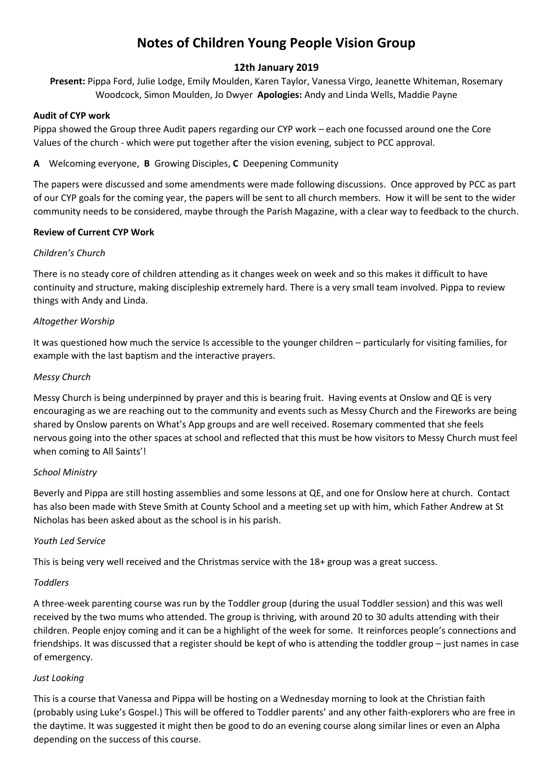# **Notes of Children Young People Vision Group**

# **12th January 2019**

**Present:** Pippa Ford, Julie Lodge, Emily Moulden, Karen Taylor, Vanessa Virgo, Jeanette Whiteman, Rosemary Woodcock, Simon Moulden, Jo Dwyer **Apologies:** Andy and Linda Wells, Maddie Payne

# **Audit of CYP work**

Pippa showed the Group three Audit papers regarding our CYP work – each one focussed around one the Core Values of the church - which were put together after the vision evening, subject to PCC approval.

**A** Welcoming everyone, **B** Growing Disciples, **C** Deepening Community

The papers were discussed and some amendments were made following discussions. Once approved by PCC as part of our CYP goals for the coming year, the papers will be sent to all church members. How it will be sent to the wider community needs to be considered, maybe through the Parish Magazine, with a clear way to feedback to the church.

# **Review of Current CYP Work**

# *Children's Church*

There is no steady core of children attending as it changes week on week and so this makes it difficult to have continuity and structure, making discipleship extremely hard. There is a very small team involved. Pippa to review things with Andy and Linda.

# *Altogether Worship*

It was questioned how much the service Is accessible to the younger children – particularly for visiting families, for example with the last baptism and the interactive prayers.

# *Messy Church*

Messy Church is being underpinned by prayer and this is bearing fruit. Having events at Onslow and QE is very encouraging as we are reaching out to the community and events such as Messy Church and the Fireworks are being shared by Onslow parents on What's App groups and are well received. Rosemary commented that she feels nervous going into the other spaces at school and reflected that this must be how visitors to Messy Church must feel when coming to All Saints'!

#### *School Ministry*

Beverly and Pippa are still hosting assemblies and some lessons at QE, and one for Onslow here at church. Contact has also been made with Steve Smith at County School and a meeting set up with him, which Father Andrew at St Nicholas has been asked about as the school is in his parish.

#### *Youth Led Service*

This is being very well received and the Christmas service with the 18+ group was a great success.

#### *Toddlers*

A three-week parenting course was run by the Toddler group (during the usual Toddler session) and this was well received by the two mums who attended. The group is thriving, with around 20 to 30 adults attending with their children. People enjoy coming and it can be a highlight of the week for some. It reinforces people's connections and friendships. It was discussed that a register should be kept of who is attending the toddler group – just names in case of emergency.

#### *Just Looking*

This is a course that Vanessa and Pippa will be hosting on a Wednesday morning to look at the Christian faith (probably using Luke's Gospel.) This will be offered to Toddler parents' and any other faith-explorers who are free in the daytime. It was suggested it might then be good to do an evening course along similar lines or even an Alpha depending on the success of this course.